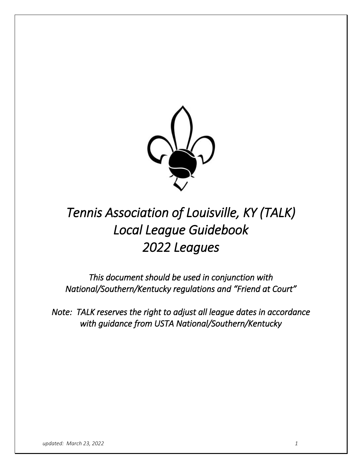

# *Tennis Association of Louisville, KY (TALK) Local League Guidebook 2022 Leagues*

*This document should be used in conjunction with National/Southern/Kentucky regulations and "Friend at Court"* 

*Note: TALK reserves the right to adjust all league dates in accordance with guidance from USTA National/Southern/Kentucky*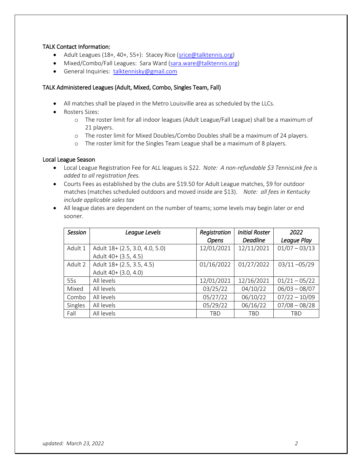# TALK Contact Information:

- Adult Leagues (18+, 40+, 55+): Stacey Rice [\(srice@talktennis.org\)](mailto:srice@talktennis.org)
- Mixed/Combo/Fall Leagues: Sara Ward [\(sara.ware@talktennis.org\)](mailto:sara.ware@talktennis.org)
- General Inquiries: [talktennisky@gmail.com](mailto:talktennisky@gmail.com)

#### TALK Administered Leagues (Adult, Mixed, Combo, Singles Team, Fall)

- All matches shall be played in the Metro Louisville area as scheduled by the LLCs.
- Rosters Sizes:
	- o The roster limit for all indoor leagues (Adult League/Fall League) shall be a maximum of 21 players.
	- o The roster limit for Mixed Doubles/Combo Doubles shall be a maximum of 24 players.
	- o The roster limit for the Singles Team League shall be a maximum of 8 players.

#### Local League Season

- Local League Registration Fee for ALL leagues is \$22. *Note: A non-refundable \$3 TennisLink fee is added to all registration fees.*
- Courts Fees as established by the clubs are \$19.50 for Adult League matches, \$9 for outdoor matches (matches scheduled outdoors and moved inside are \$13). *Note: all fees in Kentucky include applicable sales tax*
- All league dates are dependent on the number of teams; some levels may begin later or end sooner.

| <b>Session</b> | League Levels                  | Registration | <b>Initial Roster</b> | 2022            |
|----------------|--------------------------------|--------------|-----------------------|-----------------|
|                |                                | Opens        | <b>Deadline</b>       | League Play     |
| Adult 1        | Adult 18+ (2.5, 3.0, 4.0, 5.0) | 12/01/2021   | 12/11/2021            | $01/07 - 03/13$ |
|                | Adult 40+ (3.5, 4.5)           |              |                       |                 |
| Adult 2        | Adult 18+ (2.5, 3.5, 4.5)      | 01/16/2022   | 01/27/2022            | $03/11 - 05/29$ |
|                | Adult 40+ (3.0, 4.0)           |              |                       |                 |
| 55s            | All levels                     | 12/01/2021   | 12/16/2021            | $01/21 - 05/22$ |
| Mixed          | All levels                     | 03/25/22     | 04/10/22              | $06/03 - 08/07$ |
| Combo          | All levels                     | 05/27/22     | 06/10/22              | $07/22 - 10/09$ |
| Singles        | All levels                     | 05/29/22     | 06/16/22              | $07/08 - 08/28$ |
| Fall           | All levels                     | <b>TBD</b>   | <b>TBD</b>            | TBD             |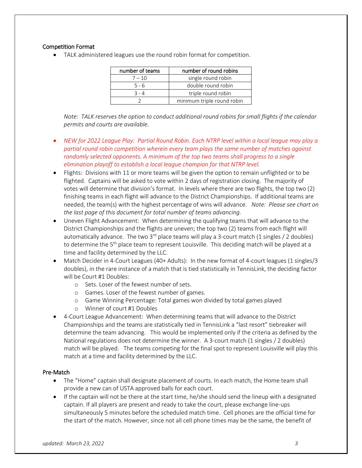# Competition Format

TALK administered leagues use the round robin format for competition.

| number of teams | number of round robins     |
|-----------------|----------------------------|
| $7 - 10$        | single round robin         |
| $5 - 6$         | double round robin         |
| $3 - 4$         | triple round robin         |
|                 | minimum triple round robin |

*Note: TALK reserves the option to conduct additional round robins for small flights if the calendar permits and courts are available.*

- *NEW for 2022 League Play: Partial Round Robin. Each NTRP level within a local league may play a partial round robin competition wherein every team plays the same number of matches against randomly selected opponents. A minimum of the top two teams shall progress to a single elimination playoff to establish a local league champion for that NTRP level.*
- Flights: Divisions with 11 or more teams will be given the option to remain unflighted or to be flighted. Captains will be asked to vote within 2 days of registration closing. The majority of votes will determine that division's format. In levels where there are two flights, the top two (2) finishing teams in each flight will advance to the District Championships. If additional teams are needed, the team(s) with the highest percentage of wins will advance. *Note: Please see chart on the last page of this document for total number of teams advancing.*
- Uneven Flight Advancement: When determining the qualifying teams that will advance to the District Championships and the flights are uneven; the top two (2) teams from each flight will automatically advance. The two  $3^{rd}$  place teams will play a 3-court match (1 singles / 2 doubles) to determine the 5<sup>th</sup> place team to represent Louisville. This deciding match will be played at a time and facility determined by the LLC.
- Match Decider in 4-Court Leagues (40+ Adults): In the new format of 4-court leagues (1 singles/3 doubles), in the rare instance of a match that is tied statistically in TennisLink, the deciding factor will be Court #1 Doubles:
	- o Sets. Loser of the fewest number of sets.
	- o Games. Loser of the fewest number of games.
	- o Game Winning Percentage: Total games won divided by total games played
	- o Winner of court #1 Doubles
- 4-Court League Advancement: When determining teams that will advance to the District Championships and the teams are statistically tied in TennisLink a "last resort" tiebreaker will determine the team advancing. This would be implemented only if the criteria as defined by the National regulations does not determine the winner. A 3-court match (1 singles / 2 doubles) match will be played. The teams competing for the final spot to represent Louisville will play this match at a time and facility determined by the LLC.

#### Pre-Match

- The "Home" captain shall designate placement of courts. In each match, the Home team shall provide a new can of USTA approved balls for each court.
- If the captain will not be there at the start time, he/she should send the lineup with a designated captain. If all players are present and ready to take the court, please exchange line-ups simultaneously 5 minutes before the scheduled match time. Cell phones are the official time for the start of the match. However, since not all cell phone times may be the same, the benefit of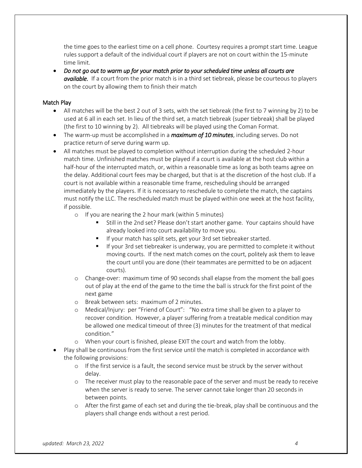the time goes to the earliest time on a cell phone. Courtesy requires a prompt start time. League rules support a default of the individual court if players are not on court within the 15-minute time limit.

 *Do not go out to warm up for your match prior to your scheduled time unless all courts are available.* If a court from the prior match is in a third set tiebreak, please be courteous to players on the court by allowing them to finish their match

# Match Play

- All matches will be the best 2 out of 3 sets, with the set tiebreak (the first to 7 winning by 2) to be used at 6 all in each set. In lieu of the third set, a match tiebreak (super tiebreak) shall be played (the first to 10 winning by 2). All tiebreaks will be played using the Coman Format.
- The warm-up must be accomplished in a *maximum of 10 minutes*, including serves. Do not practice return of serve during warm up.
- All matches must be played to completion without interruption during the scheduled 2-hour match time. Unfinished matches must be played if a court is available at the host club within a half-hour of the interrupted match, or, within a reasonable time as long as both teams agree on the delay. Additional court fees may be charged, but that is at the discretion of the host club. If a court is not available within a reasonable time frame, rescheduling should be arranged immediately by the players. If it is necessary to reschedule to complete the match, the captains must notify the LLC. The rescheduled match must be played within one week at the host facility, if possible.
	- o If you are nearing the 2 hour mark (within 5 minutes)
		- Still in the 2nd set? Please don't start another game. Your captains should have already looked into court availability to move you.
		- If your match has split sets, get your 3rd set tiebreaker started.
		- If your 3rd set tiebreaker is underway, you are permitted to complete it without moving courts. If the next match comes on the court, politely ask them to leave the court until you are done (their teammates are permitted to be on adjacent courts).
	- o Change-over: maximum time of 90 seconds shall elapse from the moment the ball goes out of play at the end of the game to the time the ball is struck for the first point of the next game
	- o Break between sets: maximum of 2 minutes.
	- o Medical/Injury: per "Friend of Court": "No extra time shall be given to a player to recover condition. However, a player suffering from a treatable medical condition may be allowed one medical timeout of three (3) minutes for the treatment of that medical condition."
	- o When your court is finished, please EXIT the court and watch from the lobby.
- Play shall be continuous from the first service until the match is completed in accordance with the following provisions:
	- $\circ$  If the first service is a fault, the second service must be struck by the server without delay.
	- o The receiver must play to the reasonable pace of the server and must be ready to receive when the server is ready to serve. The server cannot take longer than 20 seconds in between points.
	- o After the first game of each set and during the tie-break, play shall be continuous and the players shall change ends without a rest period.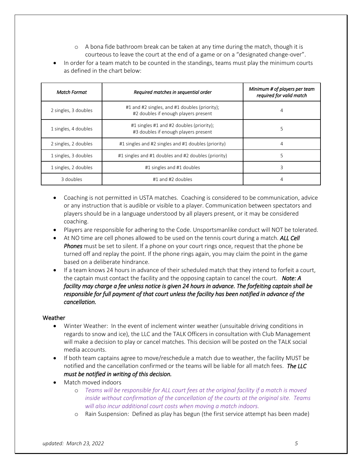- $\circ$  A bona fide bathroom break can be taken at any time during the match, though it is courteous to leave the court at the end of a game or on a "designated change-over".
- In order for a team match to be counted in the standings, teams must play the minimum courts as defined in the chart below:

| <b>Match Format</b>  | Required matches in sequential order                                                  | Minimum # of players per team<br>required for valid match |
|----------------------|---------------------------------------------------------------------------------------|-----------------------------------------------------------|
| 2 singles, 3 doubles | #1 and #2 singles, and #1 doubles (priority);<br>#2 doubles if enough players present | 4                                                         |
| 1 singles, 4 doubles | #1 singles #1 and #2 doubles (priority);<br>#3 doubles if enough players present      | 5                                                         |
| 2 singles, 2 doubles | #1 singles and #2 singles and #1 doubles (priority)                                   | 4                                                         |
| 1 singles, 3 doubles | #1 singles and #1 doubles and #2 doubles (priority)                                   | 5                                                         |
| 1 singles, 2 doubles | #1 singles and #1 doubles                                                             | 3                                                         |
| 3 doubles            | #1 and #2 doubles                                                                     | 4                                                         |

- Coaching is not permitted in USTA matches. Coaching is considered to be communication, advice or any instruction that is audible or visible to a player. Communication between spectators and players should be in a language understood by all players present, or it may be considered coaching.
- Players are responsible for adhering to the Code. Unsportsmanlike conduct will NOT be tolerated.
- At NO time are cell phones allowed to be used on the tennis court during a match. *ALL Cell Phones* must be set to silent. If a phone on your court rings once, request that the phone be turned off and replay the point. If the phone rings again, you may claim the point in the game based on a deliberate hindrance.
- If a team knows 24 hours in advance of their scheduled match that they intend to forfeit a court, the captain must contact the facility and the opposing captain to cancel the court. *Note: A facility may charge a fee unless notice is given 24 hours in advance. The forfeiting captain shall be responsible for full payment of that court unless the facility has been notified in advance of the cancellation.*

#### Weather

- Winter Weather: In the event of inclement winter weather (unsuitable driving conditions in regards to snow and ice), the LLC and the TALK Officers in consultation with Club Management will make a decision to play or cancel matches. This decision will be posted on the TALK social media accounts.
- If both team captains agree to move/reschedule a match due to weather, the facility MUST be notified and the cancellation confirmed or the teams will be liable for all match fees. *The LLC must be notified in writing of this decision.*
- Match moved indoors
	- o *Teams will be responsible for ALL court fees at the original facility if a match is moved inside without confirmation of the cancellation of the courts at the original site. Teams will also incur additional court costs when moving a match indoors.*
	- o Rain Suspension: Defined as play has begun (the first service attempt has been made)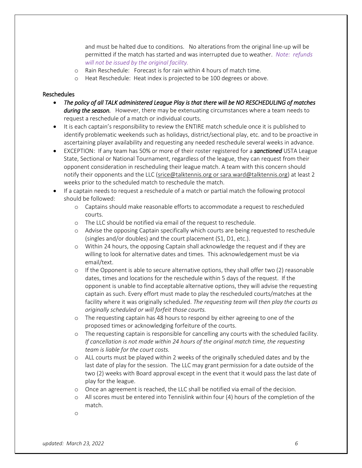and must be halted due to conditions. No alterations from the original line-up will be permitted if the match has started and was interrupted due to weather. *Note: refunds will not be issued by the original facility.*

- o Rain Reschedule: Forecast is for rain within 4 hours of match time.
- o Heat Reschedule: Heat index is projected to be 100 degrees or above.

#### Reschedules

- *The policy of all TALK administered League Play is that there will be NO RESCHEDULING of matches during the season.* However, there may be extenuating circumstances where a team needs to request a reschedule of a match or individual courts.
- It is each captain's responsibility to review the ENTIRE match schedule once it is published to identify problematic weekends such as holidays, district/sectional play, etc. and to be proactive in ascertaining player availability and requesting any needed reschedule several weeks in advance.
- EXCEPTION: If any team has 50% or more of their roster registered for a *sanctioned* USTA League State, Sectional or National Tournament, regardless of the league, they can request from their opponent consideration in rescheduling their league match. A team with this concern should notify their opponents and the LLC [\(srice@talktennis.org](mailto:srice@talktennis.org) or sara.ward@talktennis.org) at least 2 weeks prior to the scheduled match to reschedule the match.
- If a captain needs to request a reschedule of a match or partial match the following protocol should be followed:
	- o Captains should make reasonable efforts to accommodate a request to rescheduled courts.
	- o The LLC should be notified via email of the request to reschedule.
	- o Advise the opposing Captain specifically which courts are being requested to reschedule (singles and/or doubles) and the court placement (S1, D1, etc.).
	- o Within 24 hours, the opposing Captain shall acknowledge the request and if they are willing to look for alternative dates and times. This acknowledgement must be via email/text.
	- o If the Opponent is able to secure alternative options, they shall offer two (2) reasonable dates, times and locations for the reschedule within 5 days of the request. If the opponent is unable to find acceptable alternative options, they will advise the requesting captain as such. Every effort must made to play the rescheduled courts/matches at the facility where it was originally scheduled. *The requesting team will then play the courts as originally scheduled or will forfeit those courts.*
	- o The requesting captain has 48 hours to respond by either agreeing to one of the proposed times or acknowledging forfeiture of the courts.
	- o The requesting captain is responsible for cancelling any courts with the scheduled facility. *If cancellation is not made within 24 hours of the original match time, the requesting team is liable for the court costs.*
	- o ALL courts must be played within 2 weeks of the originally scheduled dates and by the last date of play for the session. The LLC may grant permission for a date outside of the two (2) weeks with Board approval except in the event that it would pass the last date of play for the league.
	- o Once an agreement is reached, the LLC shall be notified via email of the decision.
	- o All scores must be entered into Tennislink within four (4) hours of the completion of the match.
	- o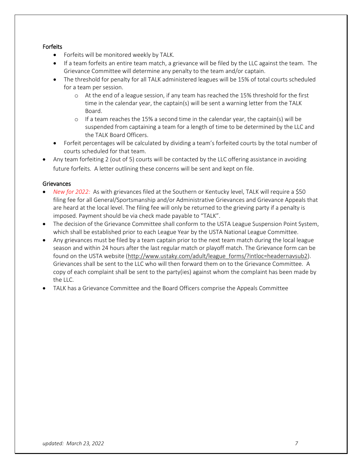# Forfeits

- Forfeits will be monitored weekly by TALK.
- If a team forfeits an entire team match, a grievance will be filed by the LLC against the team. The Grievance Committee will determine any penalty to the team and/or captain.
- The threshold for penalty for all TALK administered leagues will be 15% of total courts scheduled for a team per session.
	- o At the end of a league session, if any team has reached the 15% threshold for the first time in the calendar year, the captain(s) will be sent a warning letter from the TALK Board.
	- o If a team reaches the 15% a second time in the calendar year, the captain(s) will be suspended from captaining a team for a length of time to be determined by the LLC and the TALK Board Officers.
- Forfeit percentages will be calculated by dividing a team's forfeited courts by the total number of courts scheduled for that team.
- Any team forfeiting 2 (out of 5) courts will be contacted by the LLC offering assistance in avoiding future forfeits. A letter outlining these concerns will be sent and kept on file.

# **Grievances**

- *New for 2022:* As with grievances filed at the Southern or Kentucky level, TALK will require a \$50 filing fee for all General/Sportsmanship and/or Administrative Grievances and Grievance Appeals that are heard at the local level. The filing fee will only be returned to the grieving party if a penalty is imposed. Payment should be via check made payable to "TALK".
- The decision of the Grievance Committee shall conform to the USTA League Suspension Point System, which shall be established prior to each League Year by the USTA National League Committee.
- Any grievances must be filed by a team captain prior to the next team match during the local league season and within 24 hours after the last regular match or playoff match. The Grievance form can be found on the USTA website [\(http://www.ustaky.com/adult/league\\_forms/?intloc=headernavsub2\)](http://www.ustaky.com/adult/league_forms/?intloc=headernavsub2). Grievances shall be sent to the LLC who will then forward them on to the Grievance Committee. A copy of each complaint shall be sent to the party(ies) against whom the complaint has been made by the LLC.
- TALK has a Grievance Committee and the Board Officers comprise the Appeals Committee